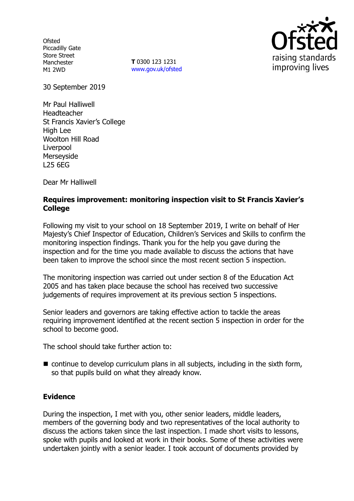**Ofsted** Piccadilly Gate Store Street Manchester M1 2WD

**T** 0300 123 1231 www.gov.uk/ofsted



30 September 2019

Mr Paul Halliwell Headteacher St Francis Xavier's College High Lee Woolton Hill Road Liverpool Merseyside L25 6EG

Dear Mr Halliwell

## **Requires improvement: monitoring inspection visit to St Francis Xavier's College**

Following my visit to your school on 18 September 2019, I write on behalf of Her Majesty's Chief Inspector of Education, Children's Services and Skills to confirm the monitoring inspection findings. Thank you for the help you gave during the inspection and for the time you made available to discuss the actions that have been taken to improve the school since the most recent section 5 inspection.

The monitoring inspection was carried out under section 8 of the Education Act 2005 and has taken place because the school has received two successive judgements of requires improvement at its previous section 5 inspections.

Senior leaders and governors are taking effective action to tackle the areas requiring improvement identified at the recent section 5 inspection in order for the school to become good.

The school should take further action to:

■ continue to develop curriculum plans in all subjects, including in the sixth form, so that pupils build on what they already know.

## **Evidence**

During the inspection, I met with you, other senior leaders, middle leaders, members of the governing body and two representatives of the local authority to discuss the actions taken since the last inspection. I made short visits to lessons, spoke with pupils and looked at work in their books. Some of these activities were undertaken jointly with a senior leader. I took account of documents provided by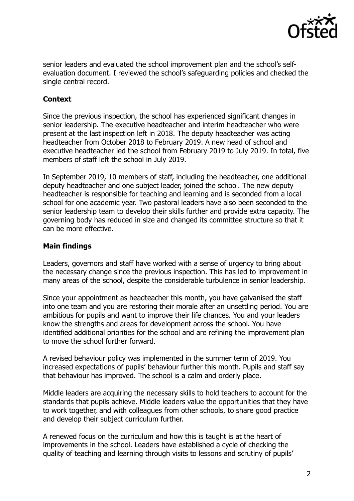

senior leaders and evaluated the school improvement plan and the school's selfevaluation document. I reviewed the school's safeguarding policies and checked the single central record.

# **Context**

Since the previous inspection, the school has experienced significant changes in senior leadership. The executive headteacher and interim headteacher who were present at the last inspection left in 2018. The deputy headteacher was acting headteacher from October 2018 to February 2019. A new head of school and executive headteacher led the school from February 2019 to July 2019. In total, five members of staff left the school in July 2019.

In September 2019, 10 members of staff, including the headteacher, one additional deputy headteacher and one subject leader, joined the school. The new deputy headteacher is responsible for teaching and learning and is seconded from a local school for one academic year. Two pastoral leaders have also been seconded to the senior leadership team to develop their skills further and provide extra capacity. The governing body has reduced in size and changed its committee structure so that it can be more effective.

### **Main findings**

Leaders, governors and staff have worked with a sense of urgency to bring about the necessary change since the previous inspection. This has led to improvement in many areas of the school, despite the considerable turbulence in senior leadership.

Since your appointment as headteacher this month, you have galvanised the staff into one team and you are restoring their morale after an unsettling period. You are ambitious for pupils and want to improve their life chances. You and your leaders know the strengths and areas for development across the school. You have identified additional priorities for the school and are refining the improvement plan to move the school further forward.

A revised behaviour policy was implemented in the summer term of 2019. You increased expectations of pupils' behaviour further this month. Pupils and staff say that behaviour has improved. The school is a calm and orderly place.

Middle leaders are acquiring the necessary skills to hold teachers to account for the standards that pupils achieve. Middle leaders value the opportunities that they have to work together, and with colleagues from other schools, to share good practice and develop their subject curriculum further.

A renewed focus on the curriculum and how this is taught is at the heart of improvements in the school. Leaders have established a cycle of checking the quality of teaching and learning through visits to lessons and scrutiny of pupils'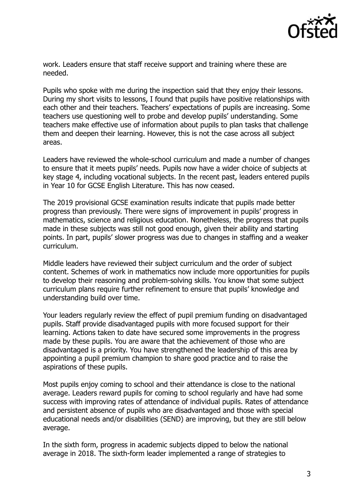

work. Leaders ensure that staff receive support and training where these are needed.

Pupils who spoke with me during the inspection said that they enjoy their lessons. During my short visits to lessons, I found that pupils have positive relationships with each other and their teachers. Teachers' expectations of pupils are increasing. Some teachers use questioning well to probe and develop pupils' understanding. Some teachers make effective use of information about pupils to plan tasks that challenge them and deepen their learning. However, this is not the case across all subject areas.

Leaders have reviewed the whole-school curriculum and made a number of changes to ensure that it meets pupils' needs. Pupils now have a wider choice of subjects at key stage 4, including vocational subjects. In the recent past, leaders entered pupils in Year 10 for GCSE English Literature. This has now ceased.

The 2019 provisional GCSE examination results indicate that pupils made better progress than previously. There were signs of improvement in pupils' progress in mathematics, science and religious education. Nonetheless, the progress that pupils made in these subjects was still not good enough, given their ability and starting points. In part, pupils' slower progress was due to changes in staffing and a weaker curriculum.

Middle leaders have reviewed their subject curriculum and the order of subject content. Schemes of work in mathematics now include more opportunities for pupils to develop their reasoning and problem-solving skills. You know that some subject curriculum plans require further refinement to ensure that pupils' knowledge and understanding build over time.

Your leaders regularly review the effect of pupil premium funding on disadvantaged pupils. Staff provide disadvantaged pupils with more focused support for their learning. Actions taken to date have secured some improvements in the progress made by these pupils. You are aware that the achievement of those who are disadvantaged is a priority. You have strengthened the leadership of this area by appointing a pupil premium champion to share good practice and to raise the aspirations of these pupils.

Most pupils enjoy coming to school and their attendance is close to the national average. Leaders reward pupils for coming to school regularly and have had some success with improving rates of attendance of individual pupils. Rates of attendance and persistent absence of pupils who are disadvantaged and those with special educational needs and/or disabilities (SEND) are improving, but they are still below average.

In the sixth form, progress in academic subjects dipped to below the national average in 2018. The sixth-form leader implemented a range of strategies to